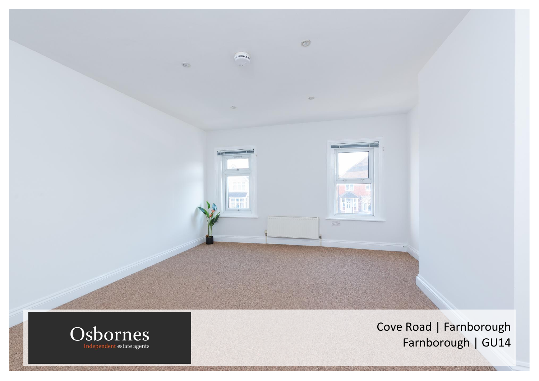



Cove Road | Farnborough Farnborough | GU14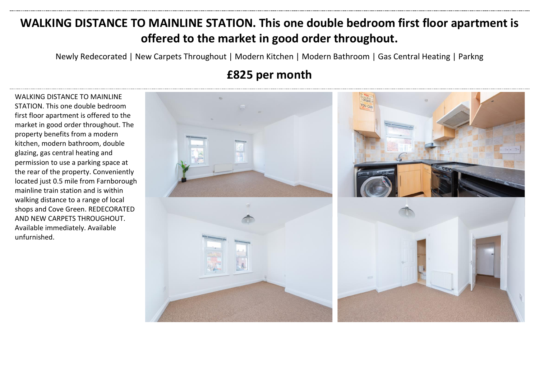## **WALKING DISTANCE TO MAINLINE STATION. This one double bedroom first floor apartment is offered to the market in good order throughout.**

Newly Redecorated | New Carpets Throughout | Modern Kitchen | Modern Bathroom | Gas Central Heating | Parkng

WALKING DISTANCE TO MAINLINE STATION. This one double bedroom first floor apartment is offered to the market in good order throughout. The property benefits from a modern kitchen, modern bathroom, double glazing, gas central heating and permission to use a parking space at the rear of the property. Conveniently located just 0.5 mile from Farnborough mainline train station and is within walking distance to a range of local shops and Cove Green. REDECORATED AND NEW CARPETS THROUGHOUT. Available immediately. Available unfurnished.

## **£825 per month**

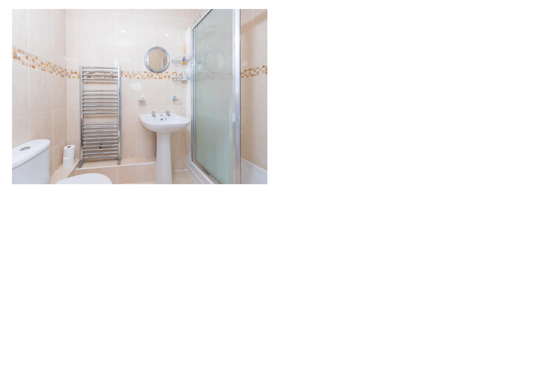